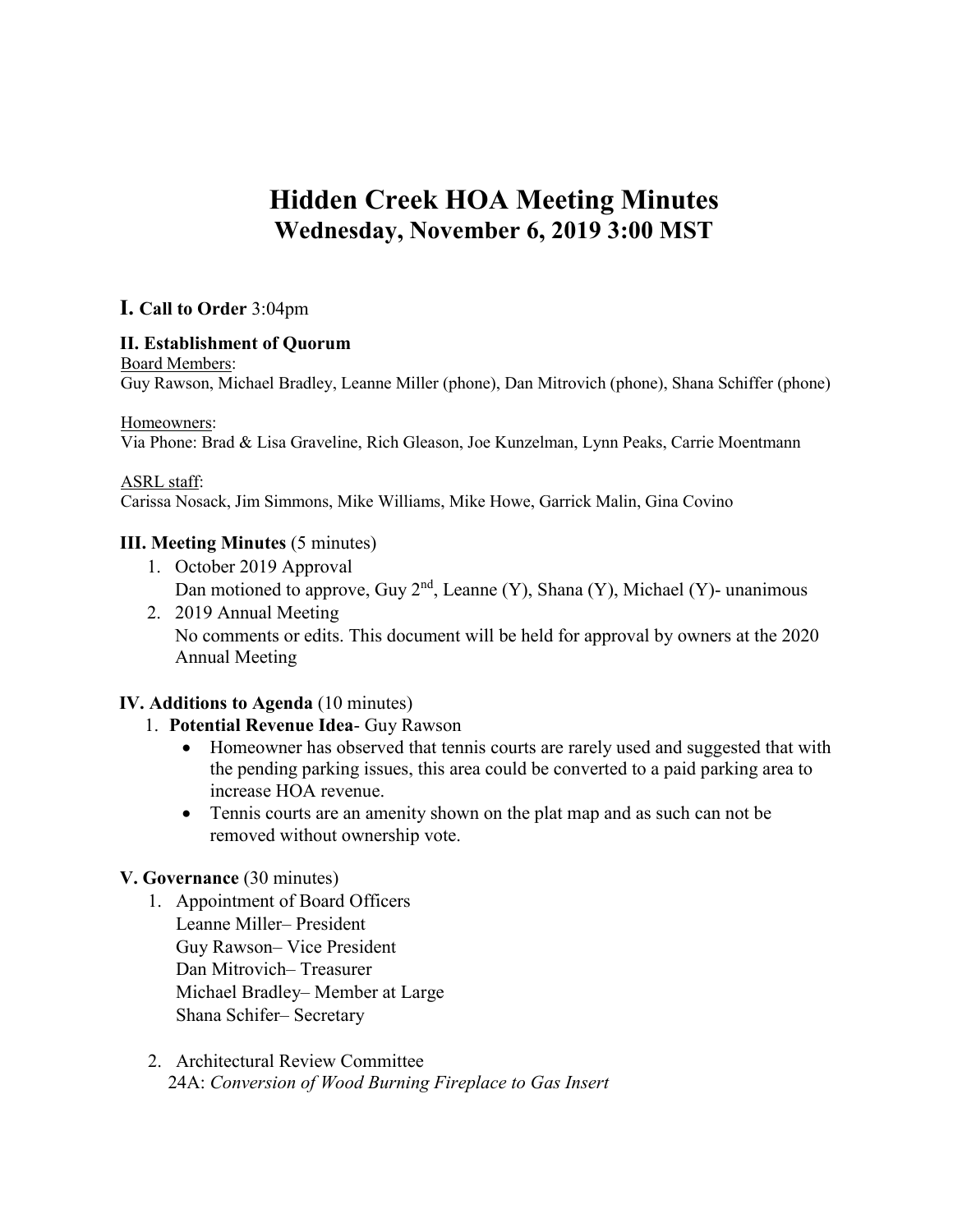# **Hidden Creek HOA Meeting Minutes Wednesday, November 6, 2019 3:00 MST**

# **I. Call to Order** 3:04pm

## **II. Establishment of Quorum**

#### Board Members:

Guy Rawson, Michael Bradley, Leanne Miller (phone), Dan Mitrovich (phone), Shana Schiffer (phone)

#### Homeowners:

Via Phone: Brad & Lisa Graveline, Rich Gleason, Joe Kunzelman, Lynn Peaks, Carrie Moentmann

#### ASRL staff:

Carissa Nosack, Jim Simmons, Mike Williams, Mike Howe, Garrick Malin, Gina Covino

## **III. Meeting Minutes** (5 minutes)

- 1. October 2019 Approval Dan motioned to approve, Guy  $2<sup>nd</sup>$ , Leanne (Y), Shana (Y), Michael (Y)- unanimous
- 2. 2019 Annual Meeting No comments or edits. This document will be held for approval by owners at the 2020 Annual Meeting

# **IV. Additions to Agenda** (10 minutes)

# 1. **Potential Revenue Idea**- Guy Rawson

- Homeowner has observed that tennis courts are rarely used and suggested that with the pending parking issues, this area could be converted to a paid parking area to increase HOA revenue.
- Tennis courts are an amenity shown on the plat map and as such can not be removed without ownership vote.

# **V. Governance** (30 minutes)

- 1. Appointment of Board Officers Leanne Miller– President Guy Rawson– Vice President Dan Mitrovich– Treasurer Michael Bradley– Member at Large Shana Schifer– Secretary
- 2. Architectural Review Committee 24A: *Conversion of Wood Burning Fireplace to Gas Insert*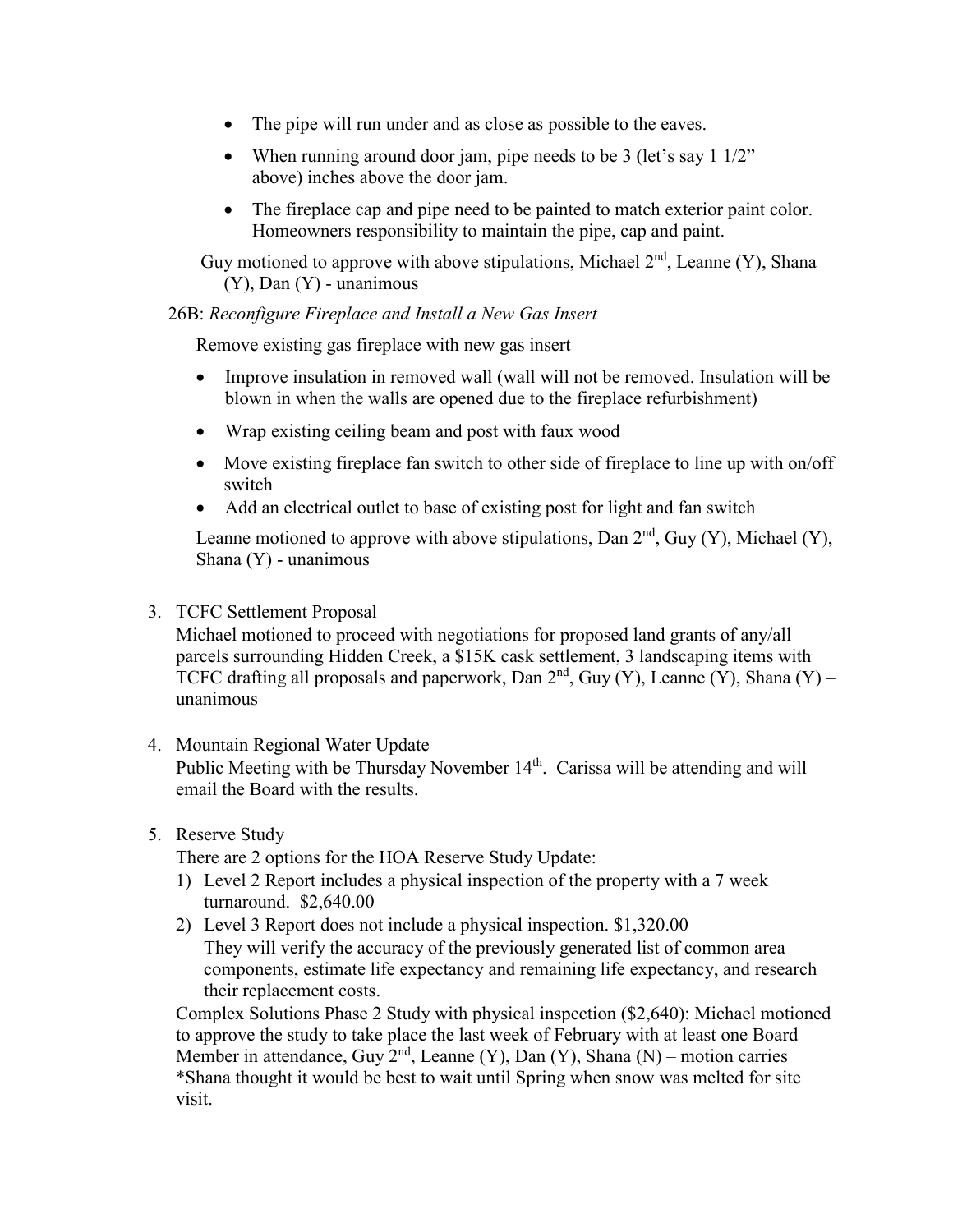- The pipe will run under and as close as possible to the eaves.
- When running around door jam, pipe needs to be 3 (let's say  $1\frac{1}{2}$ ") above) inches above the door jam.
- The fireplace cap and pipe need to be painted to match exterior paint color. Homeowners responsibility to maintain the pipe, cap and paint.

Guy motioned to approve with above stipulations, Michael  $2<sup>nd</sup>$ , Leanne (Y), Shana  $(Y)$ , Dan  $(Y)$  - unanimous

## 26B: *Reconfigure Fireplace and Install a New Gas Insert*

Remove existing gas fireplace with new gas insert

- Improve insulation in removed wall (wall will not be removed. Insulation will be blown in when the walls are opened due to the fireplace refurbishment)
- Wrap existing ceiling beam and post with faux wood
- Move existing fireplace fan switch to other side of fireplace to line up with on/off switch
- Add an electrical outlet to base of existing post for light and fan switch

Leanne motioned to approve with above stipulations, Dan  $2<sup>nd</sup>$ , Guy (Y), Michael (Y), Shana (Y) - unanimous

#### 3. TCFC Settlement Proposal

Michael motioned to proceed with negotiations for proposed land grants of any/all parcels surrounding Hidden Creek, a \$15K cask settlement, 3 landscaping items with TCFC drafting all proposals and paperwork, Dan  $2<sup>nd</sup>$ , Guy (Y), Leanne (Y), Shana (Y) – unanimous

- 4. Mountain Regional Water Update Public Meeting with be Thursday November 14<sup>th</sup>. Carissa will be attending and will email the Board with the results.
- 5. Reserve Study

There are 2 options for the HOA Reserve Study Update:

- 1) Level 2 Report includes a physical inspection of the property with a 7 week turnaround. \$2,640.00
- 2) Level 3 Report does not include a physical inspection. \$1,320.00 They will verify the accuracy of the previously generated list of common area components, estimate life expectancy and remaining life expectancy, and research their replacement costs.

Complex Solutions Phase 2 Study with physical inspection (\$2,640): Michael motioned to approve the study to take place the last week of February with at least one Board Member in attendance, Guy  $2<sup>nd</sup>$ , Leanne (Y), Dan (Y), Shana (N) – motion carries \*Shana thought it would be best to wait until Spring when snow was melted for site visit.